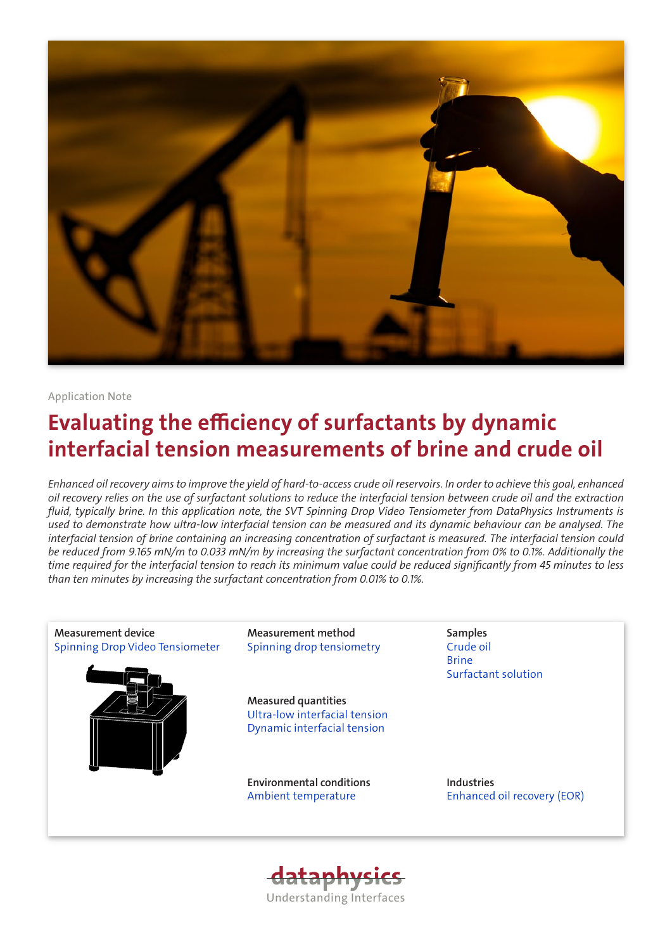

# Application Note

# Evaluating the efficiency of surfactants by dynamic interfacial tension measurements of brine and crude oil

*Enhanced oil recovery aims to improve the yield of hard-to-access crude oil reservoirs. In order to achieve this goal, enhanced oil recovery relies on the use of surfactant solutions to reduce the interfacial tension between crude oil and the extraction fluid, typically brine. In this application note, the SVT Spinning Drop Video Tensiometer from DataPhysics Instruments is used to demonstrate how ultra-low interfacial tension can be measured and its dynamic behaviour can be analysed. The interfacial tension of brine containing an increasing concentration of surfactant is measured. The interfacial tension could be reduced from 9.165 mN/m to 0.033 mN/m by increasing the surfactant concentration from 0% to 0.1%. Additionally the time required for the interfacial tension to reach its minimum value could be reduced significantly from 45 minutes to less than ten minutes by increasing the surfactant concentration from 0.01% to 0.1%.*



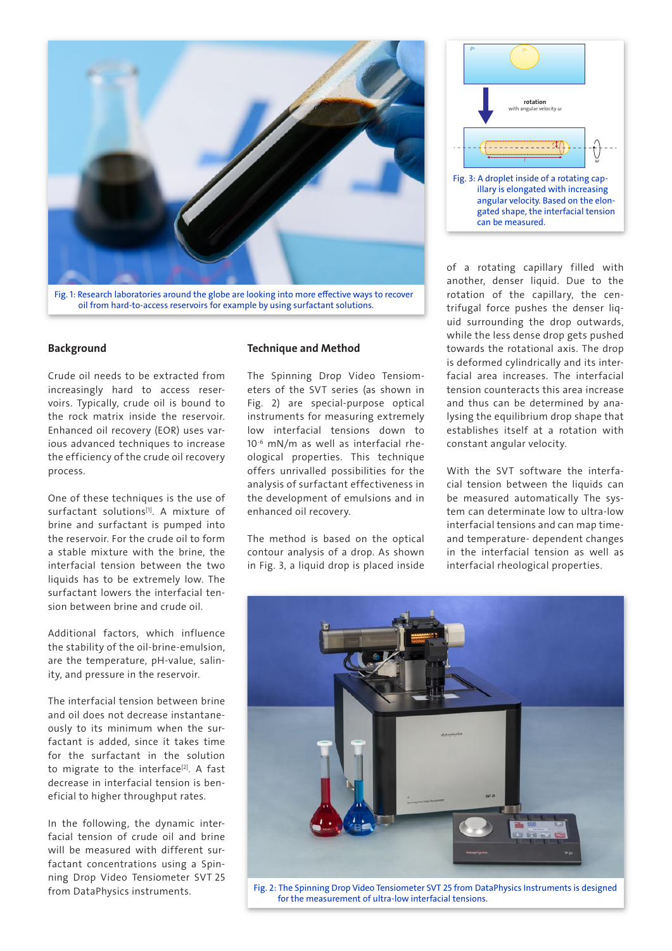

Fig. 1: Research laboratories around the globe are looking into more effective ways to recover oil from hard-to-access reservoirs for example by using surfactant solutions.

## Background

Crude oil needs to be extracted from increasingly hard to access reservoirs. Typically, crude oil is bound to the rock matrix inside the reservoir. Enhanced oil recovery (EOR) uses various advanced techniques to increase the efficiency of the crude oil recovery process.

One of these techniques is the use of surfactant solutions<sup>[1]</sup>. A mixture of brine and surfactant is pumped into the reservoir. For the crude oil to form a stable mixture with the brine, the interfacial tension between the two liquids has to be extremely low. The surfactant lowers the interfacial tension between brine and crude oil.

Additional factors, which influence the stability of the oil-brine-emulsion, are the temperature, pH-value, salinity, and pressure in the reservoir.

The interfacial tension between brine and oil does not decrease instantaneously to its minimum when the surfactant is added, since it takes time for the surfactant in the solution to migrate to the interface<sup>[2]</sup>. A fast decrease in interfacial tension is beneficial to higher throughput rates.

In the following, the dynamic interfacial tension of crude oil and brine will be measured with different surfactant concentrations using a Spinning Drop Video Tensiometer SVT 25 from DataPhysics instruments.

### Technique and Method

The Spinning Drop Video Tensiometers of the SVT series (as shown in [Fig. 2](#page-1-0)) are special-purpose optical instruments for measuring extremely low interfacial tensions down to 10-6 mN/m as well as interfacial rheological properties. This technique offers unrivalled possibilities for the analysis of surfactant effectiveness in the development of emulsions and in enhanced oil recovery.

The method is based on the optical contour analysis of a drop. As shown in [Fig. 3,](#page-1-1) a liquid drop is placed inside



<span id="page-1-1"></span>of a rotating capillary filled with another, denser liquid. Due to the rotation of the capillary, the centrifugal force pushes the denser liquid surrounding the drop outwards, while the less dense drop gets pushed towards the rotational axis. The drop is deformed cylindrically and its interfacial area increases. The interfacial tension counteracts this area increase and thus can be determined by analysing the equilibrium drop shape that establishes itself at a rotation with constant angular velocity.

With the SVT software the interfacial tension between the liquids can be measured automatically The system can determinate low to ultra-low interfacial tensions and can map timeand temperature- dependent changes in the interfacial tension as well as interfacial rheological properties.



<span id="page-1-0"></span>Fig. 2: The Spinning Drop Video Tensiometer SVT 25 from DataPhysics Instruments is designed for the measurement of ultra-low interfacial tensions.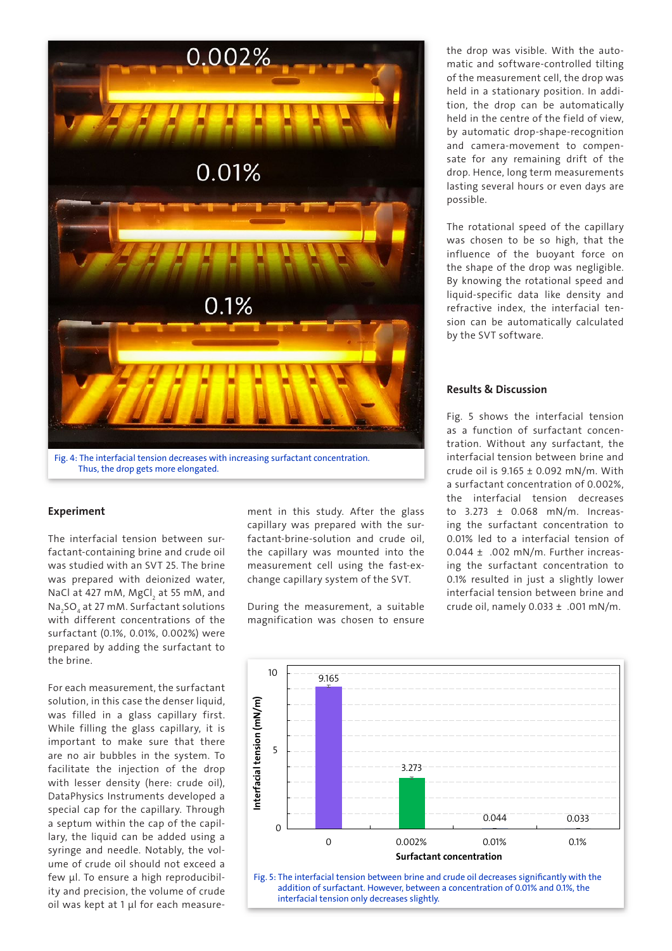

## Experiment

The interfacial tension between surfactant-containing brine and crude oil was studied with an SVT 25. The brine was prepared with deionized water, NaCl at 427 mM, MgCl<sub>2</sub> at 55 mM, and Na<sub>2</sub>SO<sub>4</sub> at 27 mM. Surfactant solutions with different concentrations of the surfactant (0.1%, 0.01%, 0.002%) were prepared by adding the surfactant to the brine.

For each measurement, the surfactant solution, in this case the denser liquid. was filled in a glass capillary first. While filling the glass capillary, it is important to make sure that there are no air bubbles in the system. To facilitate the injection of the drop with lesser density (here: crude oil), DataPhysics Instruments developed a special cap for the capillary. Through a septum within the cap of the capillary, the liquid can be added using a syringe and needle. Notably, the volume of crude oil should not exceed a few µl. To ensure a high reproducibility and precision, the volume of crude oil was kept at 1 µl for each measure-

ment in this study. After the glass capillary was prepared with the surfactant-brine-solution and crude oil, the capillary was mounted into the measurement cell using the fast-exchange capillary system of the SVT.

During the measurement, a suitable magnification was chosen to ensure

the drop was visible. With the automatic and software-controlled tilting of the measurement cell, the drop was held in a stationary position. In addition, the drop can be automatically held in the centre of the field of view, by automatic drop-shape-recognition and camera-movement to compensate for any remaining drift of the drop. Hence, long term measurements lasting several hours or even days are possible.

The rotational speed of the capillary was chosen to be so high, that the influence of the buoyant force on the shape of the drop was negligible. By knowing the rotational speed and liquid-specific data like density and refractive index, the interfacial tension can be automatically calculated by the SVT software.

## Results & Discussion

[Fig. 5](#page-2-0) shows the interfacial tension as a function of surfactant concentration. Without any surfactant, the interfacial tension between brine and crude oil is 9.165 ± 0.092 mN/m. With a surfactant concentration of 0.002%, the interfacial tension decreases to 3.273 ± 0.068 mN/m. Increasing the surfactant concentration to 0.01% led to a interfacial tension of  $0.044 \pm .002$  mN/m. Further increasing the surfactant concentration to 0.1% resulted in just a slightly lower interfacial tension between brine and crude oil, namely 0.033 ± .001 mN/m.



<span id="page-2-0"></span>interfacial tension only decreases slightly.